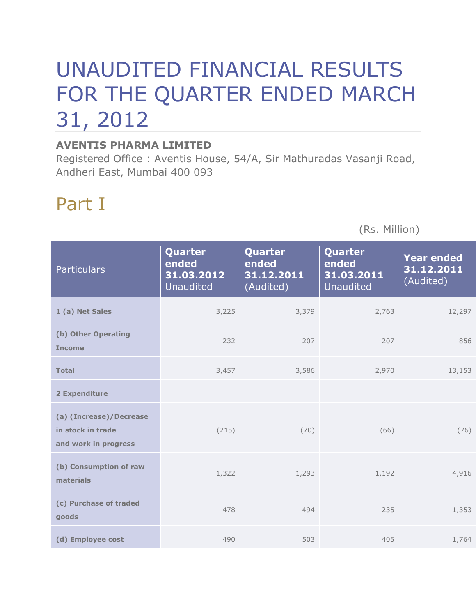# UNAUDITED FINANCIAL RESULTS FOR THE QUARTER ENDED MARCH 31, 2012

#### **AVENTIS PHARMA LIMITED**

Registered Office : Aventis House, 54/A, Sir Mathuradas Vasanji Road, Andheri East, Mumbai 400 093

## Part I

(Rs. Million)

| <b>Particulars</b>                                                   | Quarter<br>ended<br>31.03.2012<br><b>Unaudited</b> | Quarter<br>ended<br>31.12.2011<br>(Audited) | Quarter<br>ended<br>31.03.2011<br><b>Unaudited</b> | <b>Year ended</b><br>31.12.2011<br>(Audited) |
|----------------------------------------------------------------------|----------------------------------------------------|---------------------------------------------|----------------------------------------------------|----------------------------------------------|
| 1 (a) Net Sales                                                      | 3,225                                              | 3,379                                       | 2,763                                              | 12,297                                       |
| (b) Other Operating<br><b>Income</b>                                 | 232                                                | 207                                         | 207                                                | 856                                          |
| <b>Total</b>                                                         | 3,457                                              | 3,586                                       | 2,970                                              | 13,153                                       |
| 2 Expenditure                                                        |                                                    |                                             |                                                    |                                              |
| (a) (Increase)/Decrease<br>in stock in trade<br>and work in progress | (215)                                              | (70)                                        | (66)                                               | (76)                                         |
| (b) Consumption of raw<br>materials                                  | 1,322                                              | 1,293                                       | 1,192                                              | 4,916                                        |
| (c) Purchase of traded<br>goods                                      | 478                                                | 494                                         | 235                                                | 1,353                                        |
| (d) Employee cost                                                    | 490                                                | 503                                         | 405                                                | 1,764                                        |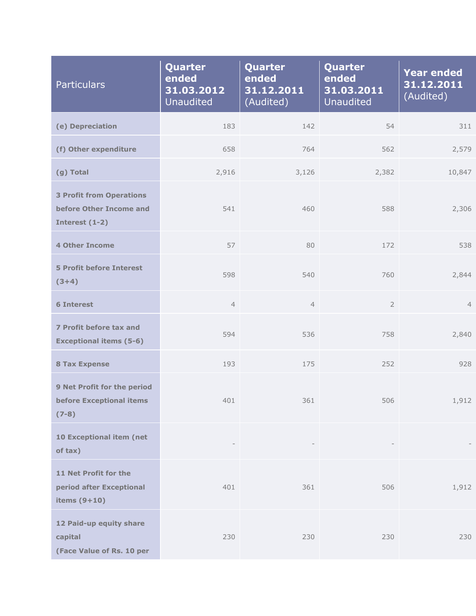| <b>Particulars</b>                                                           | Quarter<br>ended<br>31.03.2012<br><b>Unaudited</b> | Quarter<br>ended<br>31.12.2011<br>(Audited) | Quarter<br>ended<br>31.03.2011<br><b>Unaudited</b> | <b>Year ended</b><br>31.12.2011<br>(Audited) |
|------------------------------------------------------------------------------|----------------------------------------------------|---------------------------------------------|----------------------------------------------------|----------------------------------------------|
| (e) Depreciation                                                             | 183                                                | 142                                         | 54                                                 | 311                                          |
| (f) Other expenditure                                                        | 658                                                | 764                                         | 562                                                | 2,579                                        |
| (g) Total                                                                    | 2,916                                              | 3,126                                       | 2,382                                              | 10,847                                       |
| <b>3 Profit from Operations</b><br>before Other Income and<br>Interest (1-2) | 541                                                | 460                                         | 588                                                | 2,306                                        |
| <b>4 Other Income</b>                                                        | 57                                                 | 80                                          | 172                                                | 538                                          |
| <b>5 Profit before Interest</b><br>$(3+4)$                                   | 598                                                | 540                                         | 760                                                | 2,844                                        |
| <b>6 Interest</b>                                                            | $\overline{4}$                                     | $\overline{4}$                              | $\overline{2}$                                     | $\overline{4}$                               |
| 7 Profit before tax and<br><b>Exceptional items (5-6)</b>                    | 594                                                | 536                                         | 758                                                | 2,840                                        |
| <b>8 Tax Expense</b>                                                         | 193                                                | 175                                         | 252                                                | 928                                          |
| 9 Net Profit for the period<br>before Exceptional items<br>$(7-8)$           | 401                                                | 361                                         | 506                                                | 1,912                                        |
| 10 Exceptional item (net<br>of tax)                                          |                                                    |                                             |                                                    |                                              |
| 11 Net Profit for the<br>period after Exceptional<br>items $(9+10)$          | 401                                                | 361                                         | 506                                                | 1,912                                        |
| 12 Paid-up equity share<br>capital<br>(Face Value of Rs. 10 per              | 230                                                | 230                                         | 230                                                | 230                                          |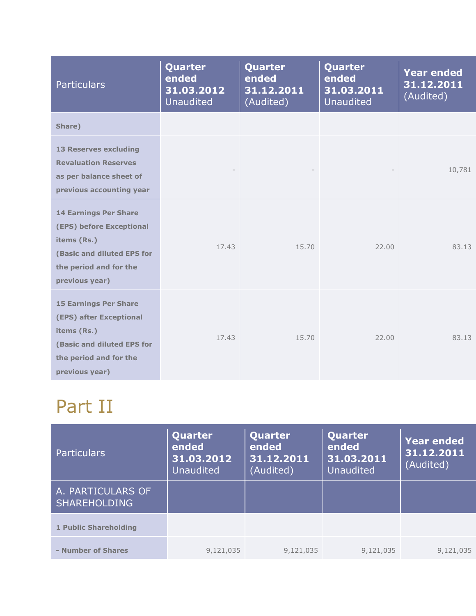| <b>Particulars</b>                                                                                                                                | Quarter<br>ended<br>31.03.2012<br><b>Unaudited</b> | Quarter<br>ended<br>31.12.2011<br>(Audited) | Quarter<br>ended<br>31.03.2011<br>Unaudited | <b>Year ended</b><br>31.12.2011<br>(Audited) |
|---------------------------------------------------------------------------------------------------------------------------------------------------|----------------------------------------------------|---------------------------------------------|---------------------------------------------|----------------------------------------------|
| Share)                                                                                                                                            |                                                    |                                             |                                             |                                              |
| <b>13 Reserves excluding</b><br><b>Revaluation Reserves</b><br>as per balance sheet of<br>previous accounting year                                |                                                    |                                             |                                             | 10,781                                       |
| <b>14 Earnings Per Share</b><br>(EPS) before Exceptional<br>items (Rs.)<br>(Basic and diluted EPS for<br>the period and for the<br>previous year) | 17.43                                              | 15.70                                       | 22.00                                       | 83.13                                        |
| <b>15 Earnings Per Share</b><br>(EPS) after Exceptional<br>items (Rs.)<br>(Basic and diluted EPS for<br>the period and for the<br>previous year)  | 17.43                                              | 15.70                                       | 22.00                                       | 83.13                                        |

# Part II

| <b>Particulars</b>                       | Quarter<br>ended<br>31.03.2012<br><b>Unaudited</b> | Quarter<br>ended<br>31.12.2011<br>(Audited) | Quarter<br>ended<br>31.03.2011<br><b>Unaudited</b> | <b>Year ended</b><br>31.12.2011<br>(Audited) |
|------------------------------------------|----------------------------------------------------|---------------------------------------------|----------------------------------------------------|----------------------------------------------|
| A. PARTICULARS OF<br><b>SHAREHOLDING</b> |                                                    |                                             |                                                    |                                              |
| 1 Public Shareholding                    |                                                    |                                             |                                                    |                                              |
| - Number of Shares                       | 9,121,035                                          | 9,121,035                                   | 9,121,035                                          | 9,121,035                                    |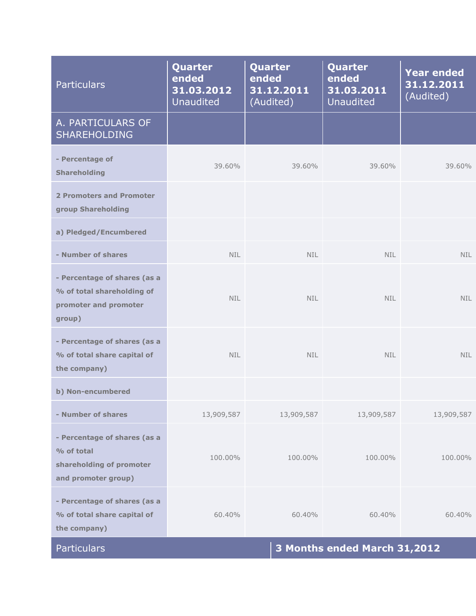| <b>Particulars</b>                                                                            | Quarter<br>ended<br>31.03.2012<br><b>Unaudited</b> | Quarter<br>ended<br>31.12.2011<br>(Audited) | <b>Quarter</b><br>ended<br>31.03.2011<br><b>Unaudited</b> | <b>Year ended</b><br>31.12.2011<br>(Audited) |
|-----------------------------------------------------------------------------------------------|----------------------------------------------------|---------------------------------------------|-----------------------------------------------------------|----------------------------------------------|
| A. PARTICULARS OF<br><b>SHAREHOLDING</b>                                                      |                                                    |                                             |                                                           |                                              |
| - Percentage of<br><b>Shareholding</b>                                                        | 39.60%                                             | 39.60%                                      | 39.60%                                                    | 39.60%                                       |
| 2 Promoters and Promoter<br>group Shareholding                                                |                                                    |                                             |                                                           |                                              |
| a) Pledged/Encumbered                                                                         |                                                    |                                             |                                                           |                                              |
| - Number of shares                                                                            | NIL.                                               | <b>NIL</b>                                  | NIL.                                                      | <b>NIL</b>                                   |
| - Percentage of shares (as a<br>% of total shareholding of<br>promoter and promoter<br>group) | <b>NIL</b>                                         | NIL.                                        | NIL.                                                      | <b>NIL</b>                                   |
| - Percentage of shares (as a<br>% of total share capital of<br>the company)                   | NIL.                                               | <b>NIL</b>                                  | NIL.                                                      | <b>NIL</b>                                   |
| b) Non-encumbered                                                                             |                                                    |                                             |                                                           |                                              |
| - Number of shares                                                                            | 13,909,587                                         | 13,909,587                                  | 13,909,587                                                | 13,909,587                                   |
| - Percentage of shares (as a<br>% of total<br>shareholding of promoter<br>and promoter group) | 100.00%                                            | 100.00%                                     | 100.00%                                                   | 100.00%                                      |
| - Percentage of shares (as a<br>% of total share capital of<br>the company)                   | 60.40%                                             | 60.40%                                      | 60.40%                                                    | 60.40%                                       |
| Particulars                                                                                   |                                                    |                                             | 3 Months ended March 31,2012                              |                                              |